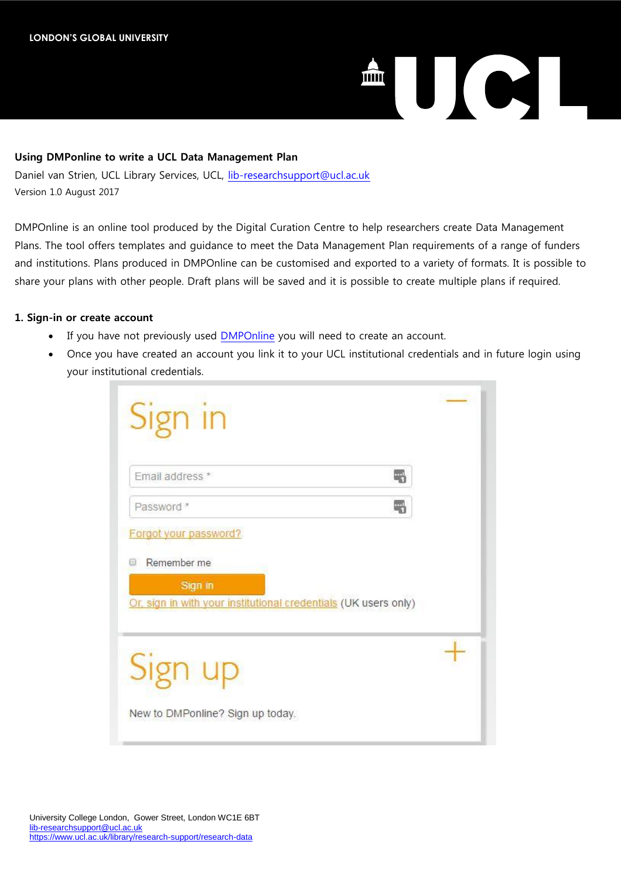# **ENTERNATIONAL ENTREPRISE**

# **Using DMPonline to write a UCL Data Management Plan**

Daniel van Strien, UCL Library Services, UCL, [lib-researchsupport@ucl.ac.uk](https://github.com/davanstrien/DMPonline-ucl/blob/master) Version 1.0 August 2017

DMPOnline is an online tool produced by the Digital Curation Centre to help researchers create Data Management Plans. The tool offers templates and guidance to meet the Data Management Plan requirements of a range of funders and institutions. Plans produced in DMPOnline can be customised and exported to a variety of formats. It is possible to share your plans with other people. Draft plans will be saved and it is possible to create multiple plans if required.

# **1. Sign-in or create account**

- If you have not previously used [DMPOnline](https://dmponline.dcc.ac.uk/) you will need to create an account.
- Once you have created an account you link it to your UCL institutional credentials and in future login using your institutional credentials.

| Email address *                                                            | 펚 |
|----------------------------------------------------------------------------|---|
| Password *                                                                 | 冊 |
| Forgot your password?                                                      |   |
| Remember me<br>66                                                          |   |
| Sign in<br>Or, sign in with your institutional credentials (UK users only) |   |
|                                                                            |   |
| ่รุท up                                                                    |   |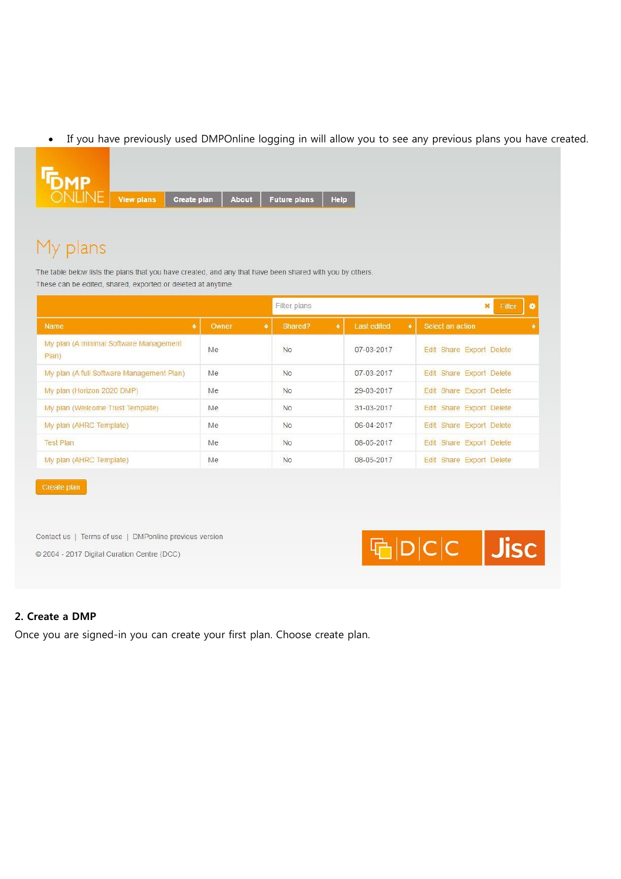If you have previously used DMPOnline logging in will allow you to see any previous plans you have created.



# My plans

The table below lists the plans that you have created, and any that have been shared with you by others. These can be edited, shared, exported or deleted at anytime.

|                                                 |           | Filter plans |                                 | $\ddot{\circ}$<br>Filter<br>$\mathbf{x}$ |
|-------------------------------------------------|-----------|--------------|---------------------------------|------------------------------------------|
| $\bullet$<br>Name                               | Owner     | Shared?<br>٠ | $\bullet$<br><b>Last edited</b> | Select an action<br>$\bullet$            |
| My plan (A minimal Software Management<br>Plan) | Me<br>236 | No<br>12253  | 07-03-2017                      | Edit Share Export Delete                 |
| My plan (A full Software Management Plan)       | Me        | No           | 07-03-2017                      | Edit Share Export Delete                 |
| My plan (Horizon 2020 DMP)                      | Me        | No           | 29-03-2017                      | Edit Share Export Delete                 |
| My plan (Wellcome Trust Template)               | Me        | <b>No</b>    | 31-03-2017                      | Edit Share Export Delete                 |
| My plan (AHRC Template)                         | Me        | <b>No</b>    | 06-04-2017                      | Edit Share Export Delete                 |
| <b>Test Plan</b>                                | Me        | <b>No</b>    | 08-05-2017                      | Edit Share Export Delete                 |
| My plan (AHRC Template)                         | Me        | <b>No</b>    | 08-05-2017                      | Edit Share Export Delete                 |

Contact us | Terms of use | DMPonline previous version

© 2004 - 2017 Digital Curation Centre (DCC)



# **2. Create a DMP**

Once you are signed-in you can create your first plan. Choose create plan.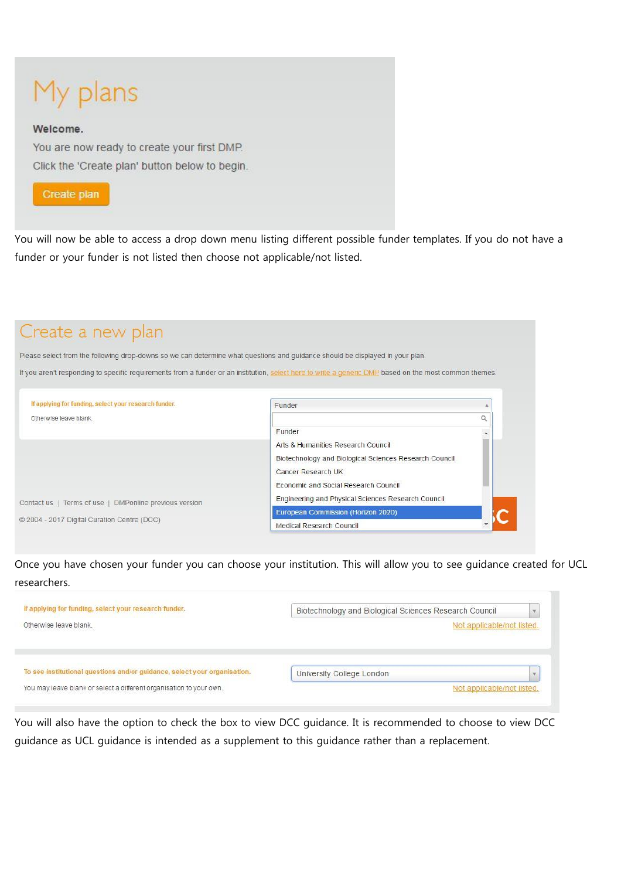# My plans

### Welcome.

You are now ready to create your first DMP. Click the 'Create plan' button below to begin.



You will now be able to access a drop down menu listing different possible funder templates. If you do not have a funder or your funder is not listed then choose not applicable/not listed.

# Create a new plan

Please select from the following drop-downs so we can determine what questions and guidance should be displayed in your plan.

If you aren't responding to specific requirements from a funder or an institution, select here to write a generic DMP based on the most common themes.

| If applying for funding, select your research funder.  | Funder                                                 |  |
|--------------------------------------------------------|--------------------------------------------------------|--|
| Otherwise leave blank.                                 |                                                        |  |
|                                                        | Funder                                                 |  |
|                                                        | Arts & Humanities Research Council                     |  |
|                                                        | Biotechnology and Biological Sciences Research Council |  |
|                                                        | Cancer Research UK                                     |  |
|                                                        | Economic and Social Research Council                   |  |
| Contact us   Terms of use   DMPonline previous version | Engineering and Physical Sciences Research Council     |  |
|                                                        | European Commission (Horizon 2020)                     |  |
| © 2004 - 2017 Digital Curation Centre (DCC)            | Medical Research Council                               |  |

Once you have chosen your funder you can choose your institution. This will allow you to see guidance created for UCL researchers.

| If applying for funding, select your research funder.<br>and the company of the company of the company of the company of the company of the company of the company of the company of the company of the company of the company of the company of the company of the company of the comp | Biotechnology and Biological Sciences Research Council        |  |
|-----------------------------------------------------------------------------------------------------------------------------------------------------------------------------------------------------------------------------------------------------------------------------------------|---------------------------------------------------------------|--|
| Otherwise leave blank.                                                                                                                                                                                                                                                                  | Not applicable/not listed.<br><b>Common Contract Contract</b> |  |
|                                                                                                                                                                                                                                                                                         |                                                               |  |
|                                                                                                                                                                                                                                                                                         |                                                               |  |
|                                                                                                                                                                                                                                                                                         |                                                               |  |
| To see institutional questions and/or guidance, select your organisation.                                                                                                                                                                                                               | University College London                                     |  |

You will also have the option to check the box to view DCC guidance. It is recommended to choose to view DCC guidance as UCL guidance is intended as a supplement to this guidance rather than a replacement.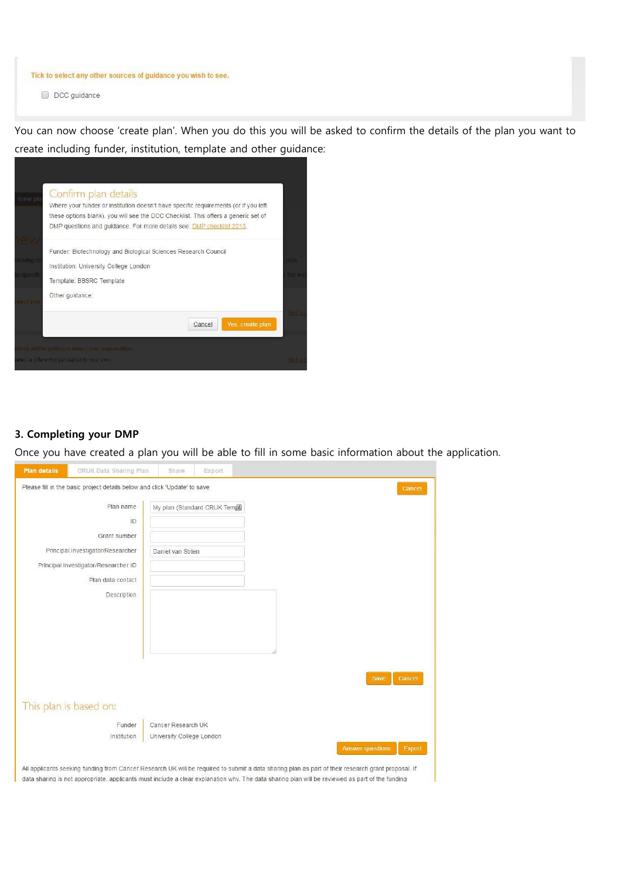Tick to select any other sources of guidance you wish to see.

D DCC guidance

You can now choose 'create plan'. When you do this you will be asked to confirm the details of the plan you want to create including funder, institution, template and other guidance:



# **3. Completing your DMP**

Once you have created a plan you will be able to fill in some basic information about the application.

| Plan name                            | My plan (Standard CRUK Tempt) |                                   |
|--------------------------------------|-------------------------------|-----------------------------------|
| ID                                   |                               |                                   |
| Grant number                         |                               |                                   |
| Principal Investigator/Researcher    | Daniel van Strien             |                                   |
| Principal Investigator/Researcher ID |                               |                                   |
| Plan data contact                    |                               |                                   |
| Description                          |                               |                                   |
|                                      |                               |                                   |
|                                      |                               |                                   |
|                                      |                               |                                   |
|                                      |                               |                                   |
|                                      |                               |                                   |
|                                      |                               | Save<br>Cancel                    |
|                                      |                               |                                   |
| This plan is based on:               |                               |                                   |
| Funder                               | Cancer Research UK            |                                   |
| Institution                          | University College London     |                                   |
|                                      |                               | <b>Answer questions</b><br>Export |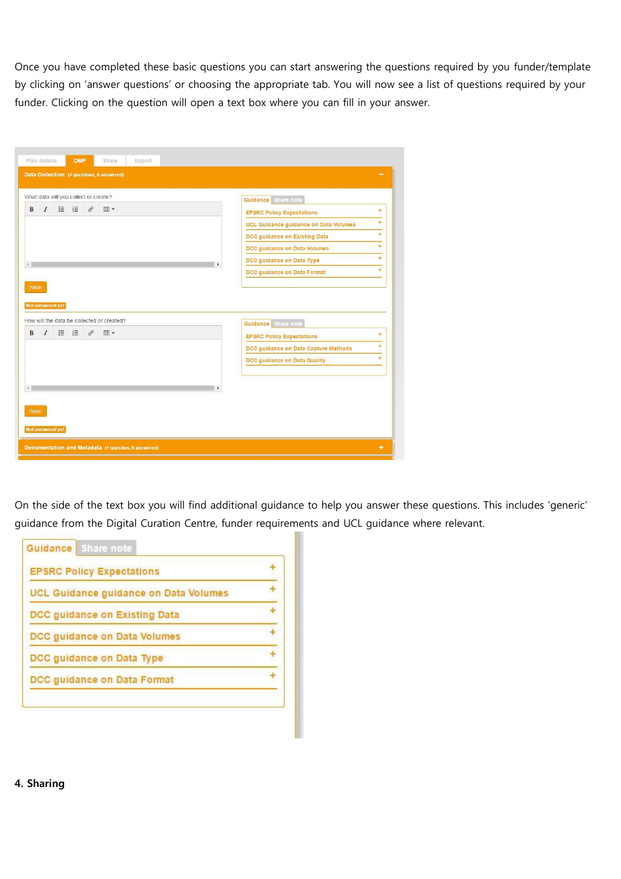Once you have completed these basic questions you can start answering the questions required by you funder/template by clicking on 'answer questions' or choosing the appropriate tab. You will now see a list of questions required by your funder. Clicking on the question will open a text box where you can fill in your answer.

|                                    | What data will you collect or create?      |               |            | Guidance Share note                                                      |           |
|------------------------------------|--------------------------------------------|---------------|------------|--------------------------------------------------------------------------|-----------|
| $\overline{I}$<br>B                | E E                                        | $\mathcal{C}$ | <b>田</b> - | <b>EPSRC Policy Expectations</b>                                         | ÷         |
|                                    |                                            |               |            | UCL Guidance guidance on Data Volumes                                    | ÷         |
|                                    |                                            |               |            | DCC guidance on Existing Data                                            | $\ddot{}$ |
|                                    |                                            |               |            | DCC guidance on Data Volumes                                             | ÷         |
| $\left\langle 1,1\right\rangle$    |                                            |               |            | DCC guidance on Data Type                                                | ÷         |
|                                    |                                            |               |            |                                                                          | ÷         |
|                                    | How will the data be collected or created? |               |            | DCC guidance on Data Format<br>Guidance Share note                       |           |
| $\cal I$                           | 挂 挂                                        | $\mathscr{E}$ | <b>田</b>   |                                                                          | ÷         |
| Save<br>Not answered yet<br>B      |                                            |               |            | <b>EPSRC Policy Expectations</b><br>DCC guidance on Data Capture Methods | ÷         |
|                                    |                                            |               |            | DCC guidance on Data Quality                                             | ÷         |
| $\left\langle \cdot \right\rangle$ |                                            |               |            |                                                                          |           |
| Save                               |                                            |               |            |                                                                          |           |

On the side of the text box you will find additional guidance to help you answer these questions. This includes 'generic' guidance from the Digital Curation Centre, funder requirements and UCL guidance where relevant.

| <b>EPSRC Policy Expectations</b>      |  |
|---------------------------------------|--|
| UCL Guidance guidance on Data Volumes |  |
| DCC guidance on Existing Data         |  |
| DCC guidance on Data Volumes          |  |
| DCC guidance on Data Type             |  |
| DCC guidance on Data Format           |  |

### **4. Sharing**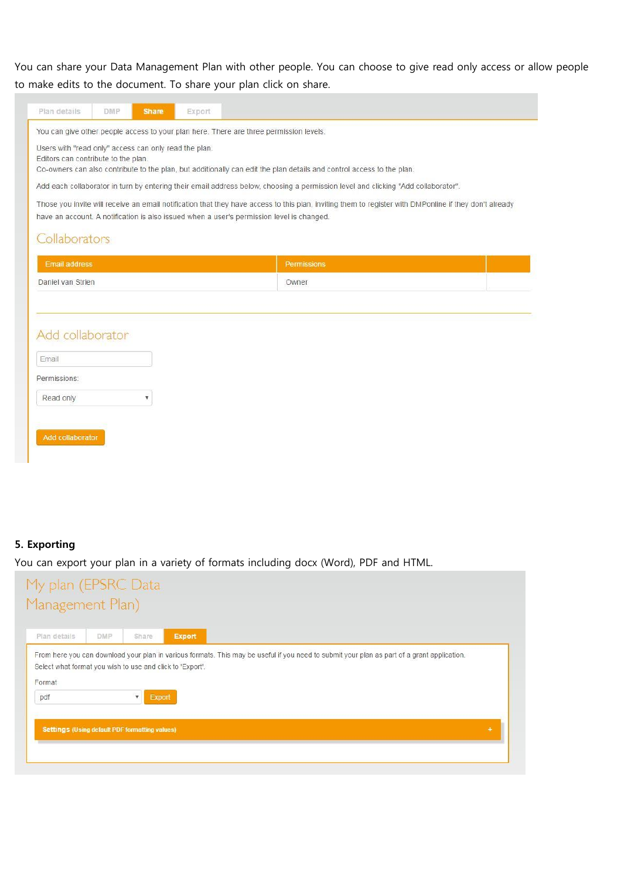You can share your Data Management Plan with other people. You can choose to give read only access or allow people to make edits to the document. To share your plan click on share.

| Users with "read only" access can only read the plan. | <b>Share</b> | Export |                                                                                                                                                                                                                                                                                                                                                                                                                                                                                                                                                                                                             |
|-------------------------------------------------------|--------------|--------|-------------------------------------------------------------------------------------------------------------------------------------------------------------------------------------------------------------------------------------------------------------------------------------------------------------------------------------------------------------------------------------------------------------------------------------------------------------------------------------------------------------------------------------------------------------------------------------------------------------|
| Editors can contribute to the plan.<br>Collaborators  |              |        | You can give other people access to your plan here. There are three permission levels.<br>Co-owners can also contribute to the plan, but additionally can edit the plan details and control access to the plan.<br>Add each collaborator in turn by entering their email address below, choosing a permission level and clicking "Add collaborator".<br>Those you invite will receive an email notification that they have access to this plan, inviting them to register with DMPonline if they don't already<br>have an account. A notification is also issued when a user's permission level is changed. |
| <b>Email address</b>                                  |              |        | <b>Permissions</b>                                                                                                                                                                                                                                                                                                                                                                                                                                                                                                                                                                                          |
| Daniel van Strien                                     |              |        | Owner                                                                                                                                                                                                                                                                                                                                                                                                                                                                                                                                                                                                       |
| Add collaborator                                      |              |        |                                                                                                                                                                                                                                                                                                                                                                                                                                                                                                                                                                                                             |
| Email<br>Permissions:                                 |              |        |                                                                                                                                                                                                                                                                                                                                                                                                                                                                                                                                                                                                             |

# **5. Exporting**

You can export your plan in a variety of formats including docx (Word), PDF and HTML.